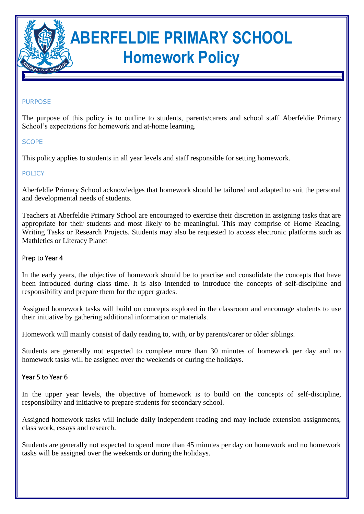

# **ABERFELDIE PRIMARY SCHOOL Homework Policy**

#### PURPOSE

The purpose of this policy is to outline to students, parents/carers and school staff Aberfeldie Primary School's expectations for homework and at-home learning.

#### **SCOPE**

This policy applies to students in all year levels and staff responsible for setting homework.

### POLICY

Aberfeldie Primary School acknowledges that homework should be tailored and adapted to suit the personal and developmental needs of students.

Teachers at Aberfeldie Primary School are encouraged to exercise their discretion in assigning tasks that are appropriate for their students and most likely to be meaningful. This may comprise of Home Reading, Writing Tasks or Research Projects. Students may also be requested to access electronic platforms such as Mathletics or Literacy Planet

#### Prep to Year 4

In the early years, the objective of homework should be to practise and consolidate the concepts that have been introduced during class time. It is also intended to introduce the concepts of self-discipline and responsibility and prepare them for the upper grades.

Assigned homework tasks will build on concepts explored in the classroom and encourage students to use their initiative by gathering additional information or materials.

Homework will mainly consist of daily reading to, with, or by parents/carer or older siblings.

Students are generally not expected to complete more than 30 minutes of homework per day and no homework tasks will be assigned over the weekends or during the holidays.

#### Year 5 to Year 6

In the upper year levels, the objective of homework is to build on the concepts of self-discipline, responsibility and initiative to prepare students for secondary school.

Assigned homework tasks will include daily independent reading and may include extension assignments, class work, essays and research.

Students are generally not expected to spend more than 45 minutes per day on homework and no homework tasks will be assigned over the weekends or during the holidays.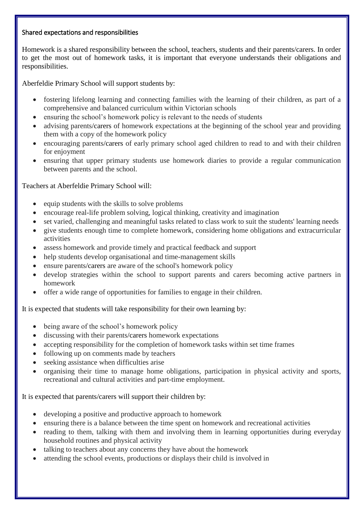## Shared expectations and responsibilities

Homework is a shared responsibility between the school, teachers, students and their parents/carers. In order to get the most out of homework tasks, it is important that everyone understands their obligations and responsibilities.

Aberfeldie Primary School will support students by:

- fostering lifelong learning and connecting families with the learning of their children, as part of a comprehensive and balanced curriculum within Victorian schools
- ensuring the school's homework policy is relevant to the needs of students
- advising parents/carers of homework expectations at the beginning of the school year and providing them with a copy of the homework policy
- encouraging parents/carers of early primary school aged children to read to and with their children for enjoyment
- ensuring that upper primary students use homework diaries to provide a regular communication between parents and the school.

Teachers at Aberfeldie Primary School will:

- equip students with the skills to solve problems
- encourage real-life problem solving, logical thinking, creativity and imagination
- set varied, challenging and meaningful tasks related to class work to suit the students' learning needs
- give students enough time to complete homework, considering home obligations and extracurricular activities
- assess homework and provide timely and practical feedback and support
- help students develop organisational and time-management skills
- ensure parents/carers are aware of the school's homework policy
- develop strategies within the school to support parents and carers becoming active partners in homework
- offer a wide range of opportunities for families to engage in their children.

It is expected that students will take responsibility for their own learning by:

- being aware of the school's homework policy
- discussing with their parents/carers homework expectations
- accepting responsibility for the completion of homework tasks within set time frames
- following up on comments made by teachers
- seeking assistance when difficulties arise
- organising their time to manage home obligations, participation in physical activity and sports, recreational and cultural activities and part-time employment.

It is expected that parents/carers will support their children by:

- developing a positive and productive approach to homework
- ensuring there is a balance between the time spent on homework and recreational activities
- reading to them, talking with them and involving them in learning opportunities during everyday household routines and physical activity
- talking to teachers about any concerns they have about the homework
- attending the school events, productions or displays their child is involved in